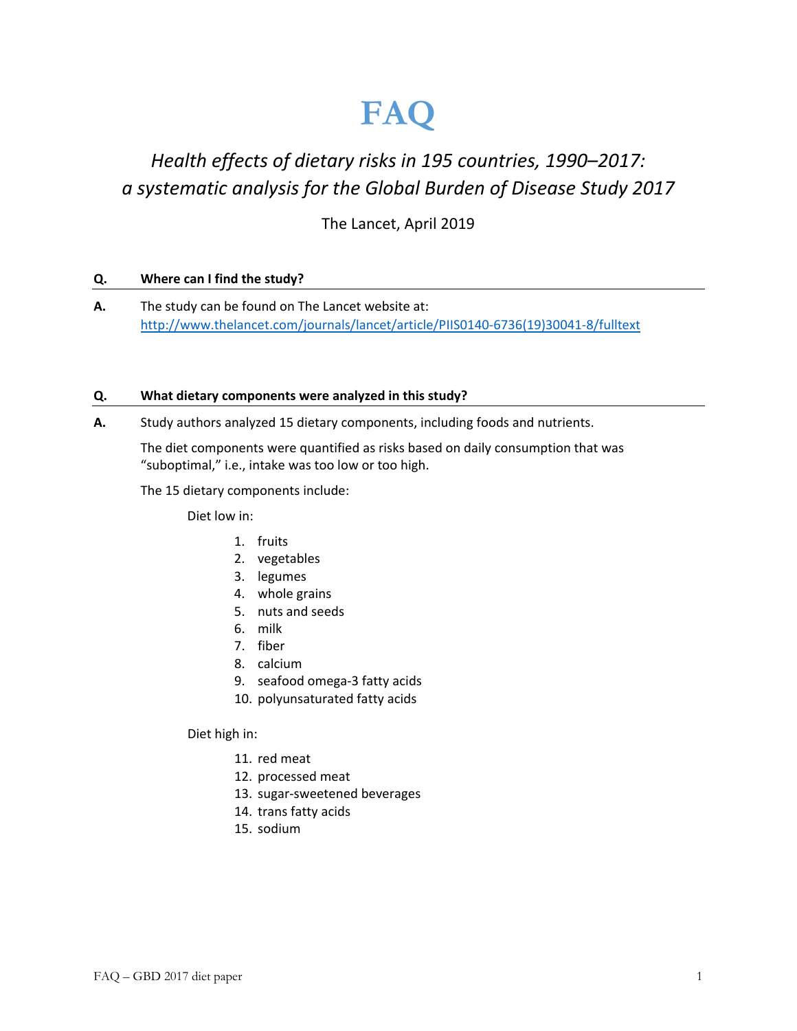# **FAQ**

# *Health effects of dietary risks in 195 countries, 1990–2017: a systematic analysis for the Global Burden of Disease Study 2017*

The Lancet, April 2019

### **Q. Where can I find the study?**

**A.** The study can be found on The Lancet website at: [http://www.thelancet.com/journals/lancet/article/PIIS0140-6736\(19\)30041-8/fulltext](http://www.thelancet.com/journals/lancet/article/PIIS0140-6736(19)30041-8/fulltext)

#### **Q. What dietary components were analyzed in this study?**

**A.** Study authors analyzed 15 dietary components, including foods and nutrients.

The diet components were quantified as risks based on daily consumption that was "suboptimal," i.e., intake was too low or too high.

The 15 dietary components include:

Diet low in:

- 1. fruits
- 2. vegetables
- 3. legumes
- 4. whole grains
- 5. nuts and seeds
- 6. milk
- 7. fiber
- 8. calcium
- 9. seafood omega-3 fatty acids
- 10. polyunsaturated fatty acids

Diet high in:

- 11. red meat
- 12. processed meat
- 13. sugar-sweetened beverages
- 14. trans fatty acids
- 15. sodium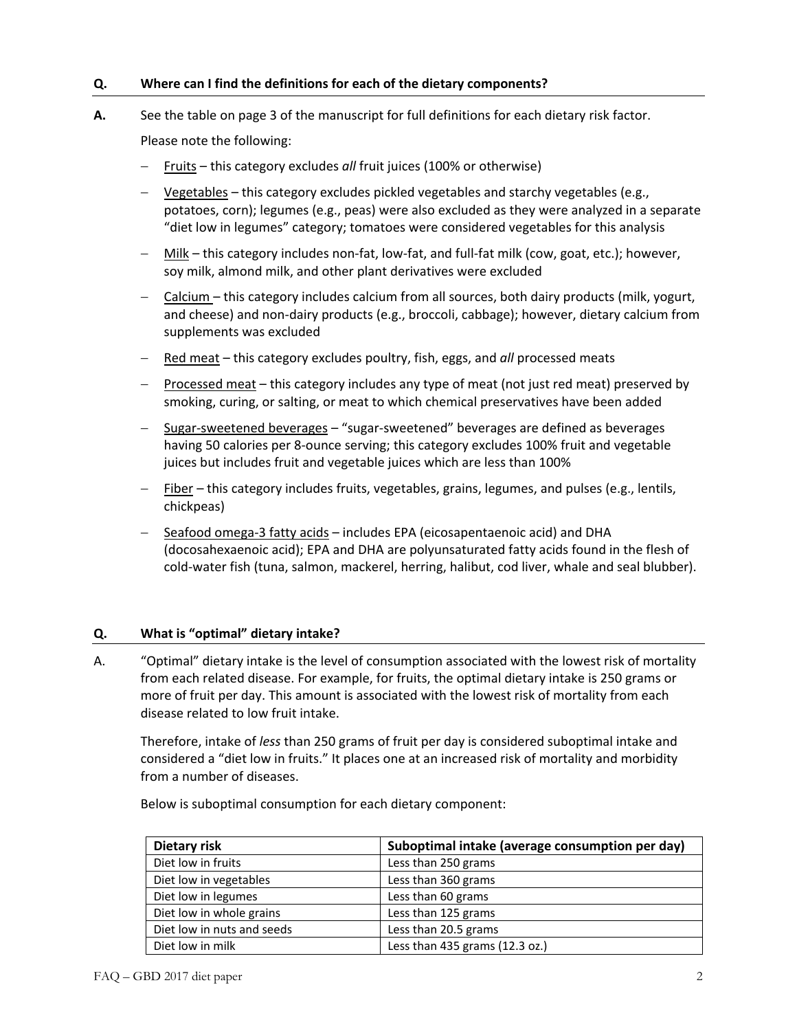#### **Q. Where can I find the definitions for each of the dietary components?**

**A.** See the table on page 3 of the manuscript for full definitions for each dietary risk factor.

Please note the following:

- − Fruits this category excludes *all* fruit juices (100% or otherwise)
- − Vegetables this category excludes pickled vegetables and starchy vegetables (e.g., potatoes, corn); legumes (e.g., peas) were also excluded as they were analyzed in a separate "diet low in legumes" category; tomatoes were considered vegetables for this analysis
- − Milk this category includes non-fat, low-fat, and full-fat milk (cow, goat, etc.); however, soy milk, almond milk, and other plant derivatives were excluded
- − Calcium this category includes calcium from all sources, both dairy products (milk, yogurt, and cheese) and non-dairy products (e.g., broccoli, cabbage); however, dietary calcium from supplements was excluded
- − Red meat this category excludes poultry, fish, eggs, and *all* processed meats
- Processed meat this category includes any type of meat (not just red meat) preserved by smoking, curing, or salting, or meat to which chemical preservatives have been added
- − Sugar-sweetened beverages "sugar-sweetened" beverages are defined as beverages having 50 calories per 8-ounce serving; this category excludes 100% fruit and vegetable juices but includes fruit and vegetable juices which are less than 100%
- − Fiber this category includes fruits, vegetables, grains, legumes, and pulses (e.g., lentils, chickpeas)
- − Seafood omega-3 fatty acids includes EPA (eicosapentaenoic acid) and DHA (docosahexaenoic acid); EPA and DHA are polyunsaturated fatty acids found in the flesh of cold-water fish (tuna, salmon, mackerel, herring, halibut, cod liver, whale and seal blubber).

#### **Q. What is "optimal" dietary intake?**

A. "Optimal" dietary intake is the level of consumption associated with the lowest risk of mortality from each related disease. For example, for fruits, the optimal dietary intake is 250 grams or more of fruit per day. This amount is associated with the lowest risk of mortality from each disease related to low fruit intake.

Therefore, intake of *less* than 250 grams of fruit per day is considered suboptimal intake and considered a "diet low in fruits." It places one at an increased risk of mortality and morbidity from a number of diseases.

| Dietary risk               | Suboptimal intake (average consumption per day) |
|----------------------------|-------------------------------------------------|
| Diet low in fruits         | Less than 250 grams                             |
| Diet low in vegetables     | Less than 360 grams                             |
| Diet low in legumes        | Less than 60 grams                              |
| Diet low in whole grains   | Less than 125 grams                             |
| Diet low in nuts and seeds | Less than 20.5 grams                            |
| Diet low in milk           | Less than 435 grams (12.3 oz.)                  |

Below is suboptimal consumption for each dietary component: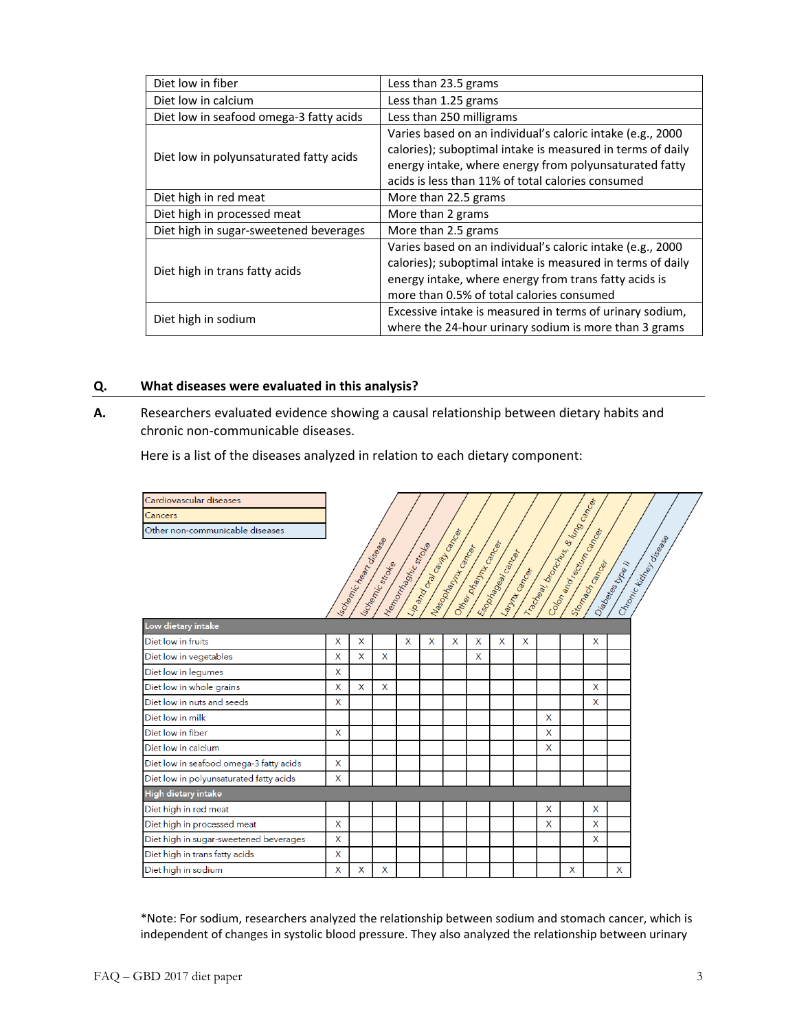| Diet low in fiber                       | Less than 23.5 grams                                       |  |  |  |  |  |  |
|-----------------------------------------|------------------------------------------------------------|--|--|--|--|--|--|
| Diet low in calcium                     | Less than 1.25 grams                                       |  |  |  |  |  |  |
| Diet low in seafood omega-3 fatty acids | Less than 250 milligrams                                   |  |  |  |  |  |  |
| Diet low in polyunsaturated fatty acids | Varies based on an individual's caloric intake (e.g., 2000 |  |  |  |  |  |  |
|                                         | calories); suboptimal intake is measured in terms of daily |  |  |  |  |  |  |
|                                         | energy intake, where energy from polyunsaturated fatty     |  |  |  |  |  |  |
|                                         | acids is less than 11% of total calories consumed          |  |  |  |  |  |  |
| Diet high in red meat                   | More than 22.5 grams                                       |  |  |  |  |  |  |
| Diet high in processed meat             | More than 2 grams                                          |  |  |  |  |  |  |
| Diet high in sugar-sweetened beverages  | More than 2.5 grams                                        |  |  |  |  |  |  |
|                                         | Varies based on an individual's caloric intake (e.g., 2000 |  |  |  |  |  |  |
| Diet high in trans fatty acids          | calories); suboptimal intake is measured in terms of daily |  |  |  |  |  |  |
|                                         | energy intake, where energy from trans fatty acids is      |  |  |  |  |  |  |
|                                         | more than 0.5% of total calories consumed                  |  |  |  |  |  |  |
|                                         | Excessive intake is measured in terms of urinary sodium,   |  |  |  |  |  |  |
| Diet high in sodium                     | where the 24-hour urinary sodium is more than 3 grams      |  |  |  |  |  |  |

#### **Q. What diseases were evaluated in this analysis?**

**A.** Researchers evaluated evidence showing a causal relationship between dietary habits and chronic non-communicable diseases.

Here is a list of the diseases analyzed in relation to each dietary component:

| Cardiovascular diseases                 |   |                         |                 |                    |   |                                            |                     |                      |                    |   |                                   |                                        |               |                       |
|-----------------------------------------|---|-------------------------|-----------------|--------------------|---|--------------------------------------------|---------------------|----------------------|--------------------|---|-----------------------------------|----------------------------------------|---------------|-----------------------|
| Cancers                                 |   |                         |                 |                    |   |                                            |                     |                      |                    |   |                                   |                                        |               |                       |
| Other non-communicable diseases         |   |                         |                 |                    |   |                                            |                     |                      |                    |   |                                   |                                        |               |                       |
|                                         |   |                         |                 |                    |   |                                            |                     |                      |                    |   |                                   |                                        |               |                       |
|                                         |   |                         |                 |                    |   |                                            |                     |                      |                    |   |                                   |                                        |               |                       |
|                                         |   |                         |                 |                    |   |                                            |                     |                      |                    |   |                                   |                                        |               |                       |
|                                         |   |                         |                 |                    |   |                                            |                     |                      |                    |   |                                   |                                        |               |                       |
|                                         |   | Isolemic heart disease. | Ischemic Stocke | Henorita Microsoft |   | Library of Grand Capital<br>Nasopra Campas | Other branch Career | España despois de la | (application City) |   | Tracked book to the United States | Colonato de Catalogas<br>Stomach Ganca | Diabetes Meel | Chonic Kota orientale |
| Low dietary intake                      |   |                         |                 |                    |   |                                            |                     |                      |                    |   |                                   |                                        |               |                       |
| Diet low in fruits                      | X | X                       |                 | X                  | X | X                                          | X                   | $\mathsf{x}$         | X                  |   |                                   | X                                      |               |                       |
| Diet low in vegetables                  | X | X                       | X               |                    |   |                                            | X                   |                      |                    |   |                                   |                                        |               |                       |
| Diet low in legumes                     | X |                         |                 |                    |   |                                            |                     |                      |                    |   |                                   |                                        |               |                       |
| Diet low in whole grains                | X | X                       | X               |                    |   |                                            |                     |                      |                    |   |                                   | X                                      |               |                       |
| Diet low in nuts and seeds              | X |                         |                 |                    |   |                                            |                     |                      |                    |   |                                   | X                                      |               |                       |
| Diet low in milk                        |   |                         |                 |                    |   |                                            |                     |                      |                    | X |                                   |                                        |               |                       |
| Diet low in fiber                       | X |                         |                 |                    |   |                                            |                     |                      |                    | X |                                   |                                        |               |                       |
| Diet low in calcium                     |   |                         |                 |                    |   |                                            |                     |                      |                    | X |                                   |                                        |               |                       |
| Diet low in seafood omega-3 fatty acids | X |                         |                 |                    |   |                                            |                     |                      |                    |   |                                   |                                        |               |                       |
| Diet low in polyunsaturated fatty acids | X |                         |                 |                    |   |                                            |                     |                      |                    |   |                                   |                                        |               |                       |
| High dietary intake                     |   |                         |                 |                    |   |                                            |                     |                      |                    |   |                                   |                                        |               |                       |
| Diet high in red meat                   |   |                         |                 |                    |   |                                            |                     |                      |                    | X |                                   | X                                      |               |                       |
| Diet high in processed meat             | X |                         |                 |                    |   |                                            |                     |                      |                    | X |                                   | X                                      |               |                       |
| Diet high in sugar-sweetened beverages  | X |                         |                 |                    |   |                                            |                     |                      |                    |   |                                   | X                                      |               |                       |
| Diet high in trans fatty acids          | X |                         |                 |                    |   |                                            |                     |                      |                    |   |                                   |                                        |               |                       |
| Diet high in sodium                     | X | X                       | X               |                    |   |                                            |                     |                      |                    |   | X                                 |                                        | X             |                       |

\*Note: For sodium, researchers analyzed the relationship between sodium and stomach cancer, which is independent of changes in systolic blood pressure. They also analyzed the relationship between urinary